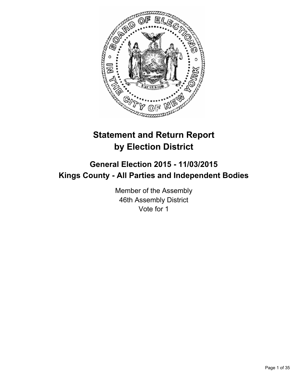

# **Statement and Return Report by Election District**

# **General Election 2015 - 11/03/2015 Kings County - All Parties and Independent Bodies**

Member of the Assembly 46th Assembly District Vote for 1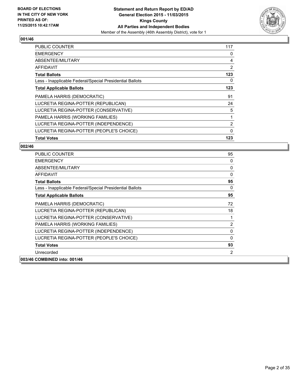

| <b>PUBLIC COUNTER</b>                                    | 117 |
|----------------------------------------------------------|-----|
| <b>EMERGENCY</b>                                         | 0   |
| ABSENTEE/MILITARY                                        | 4   |
| AFFIDAVIT                                                | 2   |
| <b>Total Ballots</b>                                     | 123 |
| Less - Inapplicable Federal/Special Presidential Ballots | 0   |
| <b>Total Applicable Ballots</b>                          | 123 |
| PAMELA HARRIS (DEMOCRATIC)                               | 91  |
| LUCRETIA REGINA-POTTER (REPUBLICAN)                      | 24  |
| LUCRETIA REGINA-POTTER (CONSERVATIVE)                    | 5   |
| PAMELA HARRIS (WORKING FAMILIES)                         | 1   |
| LUCRETIA REGINA-POTTER (INDEPENDENCE)                    | 2   |
| LUCRETIA REGINA-POTTER (PEOPLE'S CHOICE)                 | 0   |
| <b>Total Votes</b>                                       | 123 |

| <b>PUBLIC COUNTER</b>                                    | 95             |
|----------------------------------------------------------|----------------|
| <b>EMERGENCY</b>                                         | 0              |
| ABSENTEE/MILITARY                                        | 0              |
| <b>AFFIDAVIT</b>                                         | $\Omega$       |
| <b>Total Ballots</b>                                     | 95             |
| Less - Inapplicable Federal/Special Presidential Ballots | 0              |
| <b>Total Applicable Ballots</b>                          | 95             |
| PAMELA HARRIS (DEMOCRATIC)                               | 72             |
| LUCRETIA REGINA-POTTER (REPUBLICAN)                      | 18             |
| LUCRETIA REGINA-POTTER (CONSERVATIVE)                    | 1              |
| PAMELA HARRIS (WORKING FAMILIES)                         | $\overline{2}$ |
| LUCRETIA REGINA-POTTER (INDEPENDENCE)                    | $\Omega$       |
| LUCRETIA REGINA-POTTER (PEOPLE'S CHOICE)                 | $\Omega$       |
| <b>Total Votes</b>                                       | 93             |
| Unrecorded                                               | 2              |
| 003/46 COMBINED into: 001/46                             |                |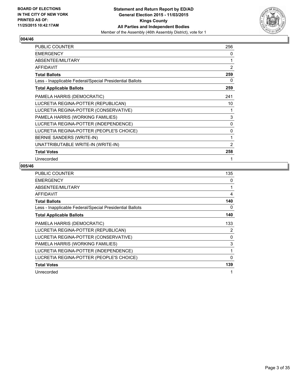

| PUBLIC COUNTER                                           | 256            |
|----------------------------------------------------------|----------------|
| <b>EMERGENCY</b>                                         | 0              |
| ABSENTEE/MILITARY                                        | 1              |
| <b>AFFIDAVIT</b>                                         | $\overline{2}$ |
| <b>Total Ballots</b>                                     | 259            |
| Less - Inapplicable Federal/Special Presidential Ballots | 0              |
| <b>Total Applicable Ballots</b>                          | 259            |
| PAMELA HARRIS (DEMOCRATIC)                               | 241            |
| LUCRETIA REGINA-POTTER (REPUBLICAN)                      | 10             |
| LUCRETIA REGINA-POTTER (CONSERVATIVE)                    | 1              |
| PAMELA HARRIS (WORKING FAMILIES)                         | 3              |
| LUCRETIA REGINA-POTTER (INDEPENDENCE)                    | 0              |
| LUCRETIA REGINA-POTTER (PEOPLE'S CHOICE)                 | 0              |
| BERNIE SANDERS (WRITE-IN)                                | 1              |
| UNATTRIBUTABLE WRITE-IN (WRITE-IN)                       | $\overline{2}$ |
| <b>Total Votes</b>                                       | 258            |
| Unrecorded                                               |                |

| <b>PUBLIC COUNTER</b>                                    | 135            |
|----------------------------------------------------------|----------------|
| <b>EMERGENCY</b>                                         | 0              |
| ABSENTEE/MILITARY                                        | 1              |
| AFFIDAVIT                                                | 4              |
| <b>Total Ballots</b>                                     | 140            |
| Less - Inapplicable Federal/Special Presidential Ballots | 0              |
| <b>Total Applicable Ballots</b>                          | 140            |
| PAMELA HARRIS (DEMOCRATIC)                               | 133            |
| LUCRETIA REGINA-POTTER (REPUBLICAN)                      | $\overline{2}$ |
| LUCRETIA REGINA-POTTER (CONSERVATIVE)                    | 0              |
| PAMELA HARRIS (WORKING FAMILIES)                         | 3              |
| LUCRETIA REGINA-POTTER (INDEPENDENCE)                    | 1              |
| LUCRETIA REGINA-POTTER (PEOPLE'S CHOICE)                 | $\Omega$       |
| <b>Total Votes</b>                                       | 139            |
| Unrecorded                                               | 1              |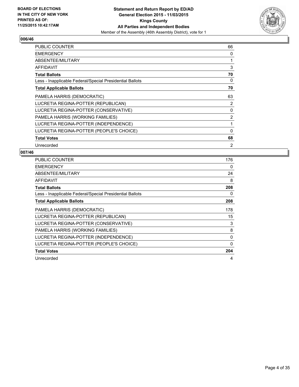

| <b>PUBLIC COUNTER</b>                                    | 66             |
|----------------------------------------------------------|----------------|
| <b>EMERGENCY</b>                                         | 0              |
| ABSENTEE/MILITARY                                        | 1              |
| AFFIDAVIT                                                | 3              |
| <b>Total Ballots</b>                                     | 70             |
| Less - Inapplicable Federal/Special Presidential Ballots | 0              |
| <b>Total Applicable Ballots</b>                          | 70             |
| PAMELA HARRIS (DEMOCRATIC)                               | 63             |
| LUCRETIA REGINA-POTTER (REPUBLICAN)                      | 2              |
| LUCRETIA REGINA-POTTER (CONSERVATIVE)                    | 0              |
| PAMELA HARRIS (WORKING FAMILIES)                         | $\overline{2}$ |
| LUCRETIA REGINA-POTTER (INDEPENDENCE)                    | 1              |
| LUCRETIA REGINA-POTTER (PEOPLE'S CHOICE)                 | 0              |
| <b>Total Votes</b>                                       | 68             |
| Unrecorded                                               | 2              |

| <b>PUBLIC COUNTER</b>                                    | 176 |
|----------------------------------------------------------|-----|
| <b>EMERGENCY</b>                                         | 0   |
| ABSENTEE/MILITARY                                        | 24  |
| <b>AFFIDAVIT</b>                                         | 8   |
| <b>Total Ballots</b>                                     | 208 |
| Less - Inapplicable Federal/Special Presidential Ballots | 0   |
| <b>Total Applicable Ballots</b>                          | 208 |
| PAMELA HARRIS (DEMOCRATIC)                               | 178 |
| LUCRETIA REGINA-POTTER (REPUBLICAN)                      | 15  |
| LUCRETIA REGINA-POTTER (CONSERVATIVE)                    | 3   |
| PAMELA HARRIS (WORKING FAMILIES)                         | 8   |
| LUCRETIA REGINA-POTTER (INDEPENDENCE)                    | 0   |
| LUCRETIA REGINA-POTTER (PEOPLE'S CHOICE)                 | 0   |
| <b>Total Votes</b>                                       | 204 |
| Unrecorded                                               | 4   |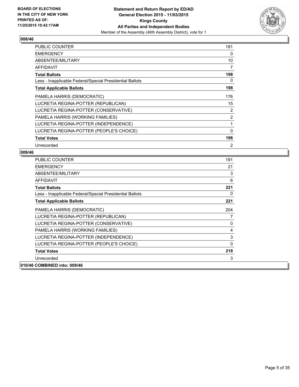

| <b>PUBLIC COUNTER</b>                                    | 181            |
|----------------------------------------------------------|----------------|
| <b>EMERGENCY</b>                                         | 0              |
| ABSENTEE/MILITARY                                        | 10             |
| AFFIDAVIT                                                | 7              |
| <b>Total Ballots</b>                                     | 198            |
| Less - Inapplicable Federal/Special Presidential Ballots | 0              |
| <b>Total Applicable Ballots</b>                          | 198            |
| PAMELA HARRIS (DEMOCRATIC)                               | 176            |
| LUCRETIA REGINA-POTTER (REPUBLICAN)                      | 15             |
| LUCRETIA REGINA-POTTER (CONSERVATIVE)                    | 2              |
| PAMELA HARRIS (WORKING FAMILIES)                         | 2              |
| LUCRETIA REGINA-POTTER (INDEPENDENCE)                    | 1              |
| LUCRETIA REGINA-POTTER (PEOPLE'S CHOICE)                 | $\mathbf 0$    |
| <b>Total Votes</b>                                       | 196            |
| Unrecorded                                               | $\overline{2}$ |

| <b>PUBLIC COUNTER</b>                                    | 191      |
|----------------------------------------------------------|----------|
| <b>EMERGENCY</b>                                         | 21       |
| ABSENTEE/MILITARY                                        | 3        |
| AFFIDAVIT                                                | 6        |
| <b>Total Ballots</b>                                     | 221      |
| Less - Inapplicable Federal/Special Presidential Ballots | 0        |
| <b>Total Applicable Ballots</b>                          | 221      |
| PAMELA HARRIS (DEMOCRATIC)                               | 204      |
| LUCRETIA REGINA-POTTER (REPUBLICAN)                      | 7        |
| LUCRETIA REGINA-POTTER (CONSERVATIVE)                    | 0        |
| PAMELA HARRIS (WORKING FAMILIES)                         | 4        |
| LUCRETIA REGINA-POTTER (INDEPENDENCE)                    | 3        |
| LUCRETIA REGINA-POTTER (PEOPLE'S CHOICE)                 | $\Omega$ |
| <b>Total Votes</b>                                       | 218      |
| Unrecorded                                               | 3        |
| 010/46 COMBINED into: 009/46                             |          |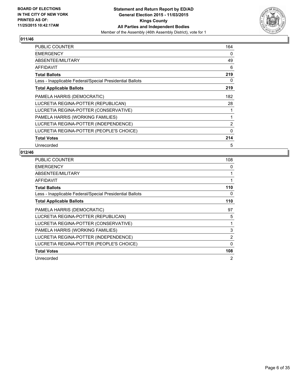

| <b>PUBLIC COUNTER</b>                                    | 164 |
|----------------------------------------------------------|-----|
| <b>EMERGENCY</b>                                         | 0   |
| ABSENTEE/MILITARY                                        | 49  |
| AFFIDAVIT                                                | 6   |
| <b>Total Ballots</b>                                     | 219 |
| Less - Inapplicable Federal/Special Presidential Ballots | 0   |
| <b>Total Applicable Ballots</b>                          | 219 |
| PAMELA HARRIS (DEMOCRATIC)                               | 182 |
| LUCRETIA REGINA-POTTER (REPUBLICAN)                      | 28  |
| LUCRETIA REGINA-POTTER (CONSERVATIVE)                    | 1   |
| PAMELA HARRIS (WORKING FAMILIES)                         | 1   |
| LUCRETIA REGINA-POTTER (INDEPENDENCE)                    | 2   |
| LUCRETIA REGINA-POTTER (PEOPLE'S CHOICE)                 | 0   |
| <b>Total Votes</b>                                       | 214 |
| Unrecorded                                               | 5   |

| <b>PUBLIC COUNTER</b>                                    | 108      |
|----------------------------------------------------------|----------|
| <b>EMERGENCY</b>                                         | 0        |
| ABSENTEE/MILITARY                                        | 1        |
| <b>AFFIDAVIT</b>                                         | 1        |
| <b>Total Ballots</b>                                     | 110      |
| Less - Inapplicable Federal/Special Presidential Ballots | 0        |
| <b>Total Applicable Ballots</b>                          | 110      |
| PAMELA HARRIS (DEMOCRATIC)                               | 97       |
| LUCRETIA REGINA-POTTER (REPUBLICAN)                      | 5        |
| LUCRETIA REGINA-POTTER (CONSERVATIVE)                    | 1        |
| PAMELA HARRIS (WORKING FAMILIES)                         | 3        |
| LUCRETIA REGINA-POTTER (INDEPENDENCE)                    | 2        |
| LUCRETIA REGINA-POTTER (PEOPLE'S CHOICE)                 | $\Omega$ |
| <b>Total Votes</b>                                       | 108      |
| Unrecorded                                               | 2        |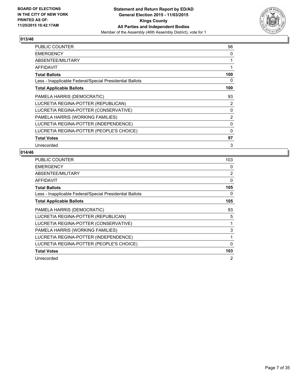

| <b>PUBLIC COUNTER</b>                                    | 98          |
|----------------------------------------------------------|-------------|
| <b>EMERGENCY</b>                                         | 0           |
| ABSENTEE/MILITARY                                        | 1           |
| AFFIDAVIT                                                | 1           |
| <b>Total Ballots</b>                                     | 100         |
| Less - Inapplicable Federal/Special Presidential Ballots | 0           |
| <b>Total Applicable Ballots</b>                          | 100         |
| PAMELA HARRIS (DEMOCRATIC)                               | 93          |
| LUCRETIA REGINA-POTTER (REPUBLICAN)                      | 2           |
| LUCRETIA REGINA-POTTER (CONSERVATIVE)                    | 0           |
| PAMELA HARRIS (WORKING FAMILIES)                         | 2           |
| LUCRETIA REGINA-POTTER (INDEPENDENCE)                    | 0           |
| LUCRETIA REGINA-POTTER (PEOPLE'S CHOICE)                 | $\mathbf 0$ |
| <b>Total Votes</b>                                       | 97          |
| Unrecorded                                               | 3           |

| <b>PUBLIC COUNTER</b>                                    | 103      |
|----------------------------------------------------------|----------|
| <b>EMERGENCY</b>                                         | 0        |
| ABSENTEE/MILITARY                                        | 2        |
| <b>AFFIDAVIT</b>                                         | 0        |
| <b>Total Ballots</b>                                     | 105      |
| Less - Inapplicable Federal/Special Presidential Ballots | 0        |
| <b>Total Applicable Ballots</b>                          | 105      |
| PAMELA HARRIS (DEMOCRATIC)                               | 93       |
| LUCRETIA REGINA-POTTER (REPUBLICAN)                      | 5        |
| LUCRETIA REGINA-POTTER (CONSERVATIVE)                    | 1        |
| PAMELA HARRIS (WORKING FAMILIES)                         | 3        |
| LUCRETIA REGINA-POTTER (INDEPENDENCE)                    | 1        |
| LUCRETIA REGINA-POTTER (PEOPLE'S CHOICE)                 | $\Omega$ |
| <b>Total Votes</b>                                       | 103      |
| Unrecorded                                               | 2        |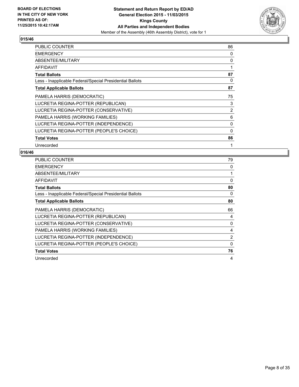

| PUBLIC COUNTER                                           | 86 |
|----------------------------------------------------------|----|
| <b>EMERGENCY</b>                                         | 0  |
| ABSENTEE/MILITARY                                        | 0  |
| <b>AFFIDAVIT</b>                                         | 1  |
| <b>Total Ballots</b>                                     | 87 |
| Less - Inapplicable Federal/Special Presidential Ballots | 0  |
| <b>Total Applicable Ballots</b>                          | 87 |
| PAMELA HARRIS (DEMOCRATIC)                               | 75 |
| LUCRETIA REGINA-POTTER (REPUBLICAN)                      | 3  |
| LUCRETIA REGINA-POTTER (CONSERVATIVE)                    | 2  |
| PAMELA HARRIS (WORKING FAMILIES)                         | 6  |
| LUCRETIA REGINA-POTTER (INDEPENDENCE)                    | 0  |
| LUCRETIA REGINA-POTTER (PEOPLE'S CHOICE)                 | 0  |
| <b>Total Votes</b>                                       | 86 |
| Unrecorded                                               | 1  |

| <b>PUBLIC COUNTER</b>                                    | 79       |
|----------------------------------------------------------|----------|
| <b>EMERGENCY</b>                                         | 0        |
| ABSENTEE/MILITARY                                        | 1        |
| <b>AFFIDAVIT</b>                                         | 0        |
| <b>Total Ballots</b>                                     | 80       |
| Less - Inapplicable Federal/Special Presidential Ballots | 0        |
| <b>Total Applicable Ballots</b>                          | 80       |
| PAMELA HARRIS (DEMOCRATIC)                               | 66       |
| LUCRETIA REGINA-POTTER (REPUBLICAN)                      | 4        |
| LUCRETIA REGINA-POTTER (CONSERVATIVE)                    | 0        |
| PAMELA HARRIS (WORKING FAMILIES)                         | 4        |
| LUCRETIA REGINA-POTTER (INDEPENDENCE)                    | 2        |
| LUCRETIA REGINA-POTTER (PEOPLE'S CHOICE)                 | $\Omega$ |
| <b>Total Votes</b>                                       | 76       |
| Unrecorded                                               | 4        |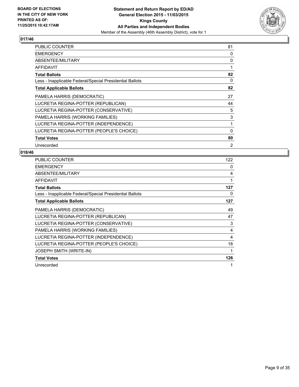

| <b>PUBLIC COUNTER</b>                                    | 81       |
|----------------------------------------------------------|----------|
| <b>EMERGENCY</b>                                         | 0        |
| ABSENTEE/MILITARY                                        | 0        |
| <b>AFFIDAVIT</b>                                         |          |
| <b>Total Ballots</b>                                     | 82       |
| Less - Inapplicable Federal/Special Presidential Ballots | 0        |
| <b>Total Applicable Ballots</b>                          | 82       |
| PAMELA HARRIS (DEMOCRATIC)                               | 27       |
| LUCRETIA REGINA-POTTER (REPUBLICAN)                      | 44       |
| LUCRETIA REGINA-POTTER (CONSERVATIVE)                    | 5        |
| PAMELA HARRIS (WORKING FAMILIES)                         | 3        |
| LUCRETIA REGINA-POTTER (INDEPENDENCE)                    | 1        |
| LUCRETIA REGINA-POTTER (PEOPLE'S CHOICE)                 | $\Omega$ |
| <b>Total Votes</b>                                       | 80       |
| Unrecorded                                               | 2        |

| <b>PUBLIC COUNTER</b>                                    | 122 |
|----------------------------------------------------------|-----|
| <b>EMERGENCY</b>                                         | 0   |
| ABSENTEE/MILITARY                                        | 4   |
| <b>AFFIDAVIT</b>                                         | 1   |
| <b>Total Ballots</b>                                     | 127 |
| Less - Inapplicable Federal/Special Presidential Ballots | 0   |
| <b>Total Applicable Ballots</b>                          | 127 |
| PAMELA HARRIS (DEMOCRATIC)                               | 49  |
| LUCRETIA REGINA-POTTER (REPUBLICAN)                      | 47  |
| LUCRETIA REGINA-POTTER (CONSERVATIVE)                    | 3   |
| PAMELA HARRIS (WORKING FAMILIES)                         | 4   |
| LUCRETIA REGINA-POTTER (INDEPENDENCE)                    | 4   |
| LUCRETIA REGINA-POTTER (PEOPLE'S CHOICE)                 | 18  |
| <b>JOSEPH SMITH (WRITE-IN)</b>                           | 1   |
| <b>Total Votes</b>                                       | 126 |
| Unrecorded                                               | 1   |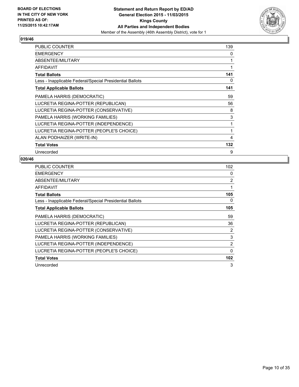

| <b>PUBLIC COUNTER</b>                                    | 139 |
|----------------------------------------------------------|-----|
| <b>EMERGENCY</b>                                         | 0   |
| ABSENTEE/MILITARY                                        | 1   |
| AFFIDAVIT                                                | 1   |
| <b>Total Ballots</b>                                     | 141 |
| Less - Inapplicable Federal/Special Presidential Ballots | 0   |
| <b>Total Applicable Ballots</b>                          | 141 |
| PAMELA HARRIS (DEMOCRATIC)                               | 59  |
| LUCRETIA REGINA-POTTER (REPUBLICAN)                      | 56  |
| LUCRETIA REGINA-POTTER (CONSERVATIVE)                    | 8   |
| PAMELA HARRIS (WORKING FAMILIES)                         | 3   |
| LUCRETIA REGINA-POTTER (INDEPENDENCE)                    | 1   |
| LUCRETIA REGINA-POTTER (PEOPLE'S CHOICE)                 | 1   |
| ALAN PODHAIZER (WRITE-IN)                                | 4   |
| <b>Total Votes</b>                                       | 132 |
| Unrecorded                                               | 9   |

| <b>PUBLIC COUNTER</b>                                    | 102 |
|----------------------------------------------------------|-----|
| <b>EMERGENCY</b>                                         | 0   |
| ABSENTEE/MILITARY                                        | 2   |
| <b>AFFIDAVIT</b>                                         | 1   |
| <b>Total Ballots</b>                                     | 105 |
| Less - Inapplicable Federal/Special Presidential Ballots | 0   |
| <b>Total Applicable Ballots</b>                          | 105 |
| PAMELA HARRIS (DEMOCRATIC)                               | 59  |
| LUCRETIA REGINA-POTTER (REPUBLICAN)                      | 36  |
| LUCRETIA REGINA-POTTER (CONSERVATIVE)                    | 2   |
| PAMELA HARRIS (WORKING FAMILIES)                         | 3   |
| LUCRETIA REGINA-POTTER (INDEPENDENCE)                    | 2   |
| LUCRETIA REGINA-POTTER (PEOPLE'S CHOICE)                 | 0   |
| <b>Total Votes</b>                                       | 102 |
| Unrecorded                                               | 3   |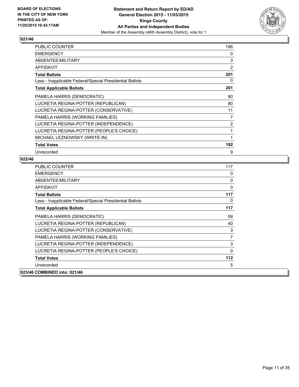

| <b>PUBLIC COUNTER</b>                                    | 196 |
|----------------------------------------------------------|-----|
| <b>EMERGENCY</b>                                         | 0   |
| ABSENTEE/MILITARY                                        | 3   |
| <b>AFFIDAVIT</b>                                         | 2   |
| <b>Total Ballots</b>                                     | 201 |
| Less - Inapplicable Federal/Special Presidential Ballots | 0   |
| <b>Total Applicable Ballots</b>                          | 201 |
| PAMELA HARRIS (DEMOCRATIC)                               | 90  |
| LUCRETIA REGINA-POTTER (REPUBLICAN)                      | 80  |
| LUCRETIA REGINA-POTTER (CONSERVATIVE)                    | 11  |
| PAMELA HARRIS (WORKING FAMILIES)                         | 7   |
| LUCRETIA REGINA-POTTER (INDEPENDENCE)                    | 2   |
| LUCRETIA REGINA-POTTER (PEOPLE'S CHOICE)                 | 1   |
| MICHAEL LEZNOWSKY (WRITE-IN)                             | 1   |
| <b>Total Votes</b>                                       | 192 |
| Unrecorded                                               | 9   |

| <b>PUBLIC COUNTER</b>                                    | 117      |
|----------------------------------------------------------|----------|
| <b>EMERGENCY</b>                                         | 0        |
| ABSENTEE/MILITARY                                        | 0        |
| <b>AFFIDAVIT</b>                                         | $\Omega$ |
| <b>Total Ballots</b>                                     | 117      |
| Less - Inapplicable Federal/Special Presidential Ballots | 0        |
| <b>Total Applicable Ballots</b>                          | 117      |
| PAMELA HARRIS (DEMOCRATIC)                               | 59       |
| LUCRETIA REGINA-POTTER (REPUBLICAN)                      | 40       |
| LUCRETIA REGINA-POTTER (CONSERVATIVE)                    | 3        |
| PAMELA HARRIS (WORKING FAMILIES)                         | 7        |
| LUCRETIA REGINA-POTTER (INDEPENDENCE)                    | 3        |
| LUCRETIA REGINA-POTTER (PEOPLE'S CHOICE)                 | $\Omega$ |
| <b>Total Votes</b>                                       | 112      |
| Unrecorded                                               | 5        |
| 023/46 COMBINED into: 021/46                             |          |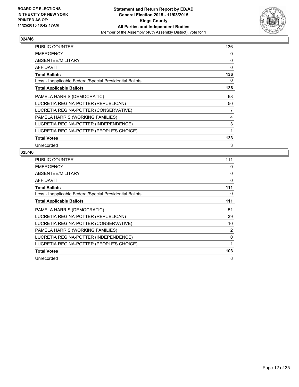

| <b>PUBLIC COUNTER</b>                                    | 136 |
|----------------------------------------------------------|-----|
| <b>EMERGENCY</b>                                         | 0   |
| ABSENTEE/MILITARY                                        | 0   |
| AFFIDAVIT                                                | 0   |
| <b>Total Ballots</b>                                     | 136 |
| Less - Inapplicable Federal/Special Presidential Ballots | 0   |
| <b>Total Applicable Ballots</b>                          | 136 |
| PAMELA HARRIS (DEMOCRATIC)                               | 68  |
| LUCRETIA REGINA-POTTER (REPUBLICAN)                      | 50  |
| LUCRETIA REGINA-POTTER (CONSERVATIVE)                    | 7   |
| PAMELA HARRIS (WORKING FAMILIES)                         | 4   |
| LUCRETIA REGINA-POTTER (INDEPENDENCE)                    | 3   |
| LUCRETIA REGINA-POTTER (PEOPLE'S CHOICE)                 | 1   |
| <b>Total Votes</b>                                       | 133 |
| Unrecorded                                               | 3   |

| <b>PUBLIC COUNTER</b>                                    | 111 |
|----------------------------------------------------------|-----|
| <b>EMERGENCY</b>                                         | 0   |
| ABSENTEE/MILITARY                                        | 0   |
| AFFIDAVIT                                                | 0   |
| <b>Total Ballots</b>                                     | 111 |
| Less - Inapplicable Federal/Special Presidential Ballots | 0   |
| <b>Total Applicable Ballots</b>                          | 111 |
| PAMELA HARRIS (DEMOCRATIC)                               | 51  |
| LUCRETIA REGINA-POTTER (REPUBLICAN)                      | 39  |
| LUCRETIA REGINA-POTTER (CONSERVATIVE)                    | 10  |
| PAMELA HARRIS (WORKING FAMILIES)                         | 2   |
| LUCRETIA REGINA-POTTER (INDEPENDENCE)                    | 0   |
| LUCRETIA REGINA-POTTER (PEOPLE'S CHOICE)                 | 1   |
| <b>Total Votes</b>                                       | 103 |
| Unrecorded                                               | 8   |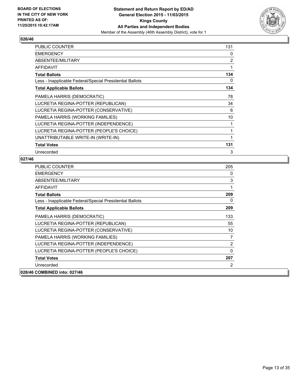

| <b>PUBLIC COUNTER</b>                                    | 131 |
|----------------------------------------------------------|-----|
| <b>EMERGENCY</b>                                         | 0   |
| ABSENTEE/MILITARY                                        | 2   |
| <b>AFFIDAVIT</b>                                         | 1   |
| <b>Total Ballots</b>                                     | 134 |
| Less - Inapplicable Federal/Special Presidential Ballots | 0   |
| <b>Total Applicable Ballots</b>                          | 134 |
| PAMELA HARRIS (DEMOCRATIC)                               | 78  |
| LUCRETIA REGINA-POTTER (REPUBLICAN)                      | 34  |
| LUCRETIA REGINA-POTTER (CONSERVATIVE)                    | 6   |
| PAMELA HARRIS (WORKING FAMILIES)                         | 10  |
| LUCRETIA REGINA-POTTER (INDEPENDENCE)                    | 1   |
| LUCRETIA REGINA-POTTER (PEOPLE'S CHOICE)                 | 1   |
| UNATTRIBUTABLE WRITE-IN (WRITE-IN)                       | 1   |
| <b>Total Votes</b>                                       | 131 |
| Unrecorded                                               | 3   |

| <b>PUBLIC COUNTER</b>                                    | 205 |
|----------------------------------------------------------|-----|
| <b>EMERGENCY</b>                                         | 0   |
| <b>ABSENTEE/MILITARY</b>                                 | 3   |
| <b>AFFIDAVIT</b>                                         | 1   |
| <b>Total Ballots</b>                                     | 209 |
| Less - Inapplicable Federal/Special Presidential Ballots | 0   |
| <b>Total Applicable Ballots</b>                          | 209 |
| PAMELA HARRIS (DEMOCRATIC)                               | 133 |
| LUCRETIA REGINA-POTTER (REPUBLICAN)                      | 55  |
| LUCRETIA REGINA-POTTER (CONSERVATIVE)                    | 10  |
| PAMELA HARRIS (WORKING FAMILIES)                         | 7   |
| LUCRETIA REGINA-POTTER (INDEPENDENCE)                    | 2   |
| LUCRETIA REGINA-POTTER (PEOPLE'S CHOICE)                 | 0   |
| <b>Total Votes</b>                                       | 207 |
| Unrecorded                                               | 2   |
| 028/46 COMBINED into: 027/46                             |     |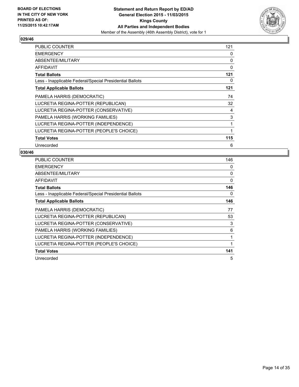

| <b>PUBLIC COUNTER</b>                                    | 121 |
|----------------------------------------------------------|-----|
| <b>EMERGENCY</b>                                         | 0   |
| ABSENTEE/MILITARY                                        | 0   |
| AFFIDAVIT                                                | 0   |
| <b>Total Ballots</b>                                     | 121 |
| Less - Inapplicable Federal/Special Presidential Ballots | 0   |
| <b>Total Applicable Ballots</b>                          | 121 |
| PAMELA HARRIS (DEMOCRATIC)                               | 74  |
| LUCRETIA REGINA-POTTER (REPUBLICAN)                      | 32  |
| LUCRETIA REGINA-POTTER (CONSERVATIVE)                    | 4   |
| PAMELA HARRIS (WORKING FAMILIES)                         | 3   |
| LUCRETIA REGINA-POTTER (INDEPENDENCE)                    | 1   |
| LUCRETIA REGINA-POTTER (PEOPLE'S CHOICE)                 | 1   |
| <b>Total Votes</b>                                       | 115 |
| Unrecorded                                               | 6   |

| <b>PUBLIC COUNTER</b>                                    | 146 |
|----------------------------------------------------------|-----|
| <b>EMERGENCY</b>                                         | 0   |
| ABSENTEE/MILITARY                                        | 0   |
| <b>AFFIDAVIT</b>                                         | 0   |
| <b>Total Ballots</b>                                     | 146 |
| Less - Inapplicable Federal/Special Presidential Ballots | 0   |
| <b>Total Applicable Ballots</b>                          | 146 |
| PAMELA HARRIS (DEMOCRATIC)                               | 77  |
| LUCRETIA REGINA-POTTER (REPUBLICAN)                      | 53  |
| LUCRETIA REGINA-POTTER (CONSERVATIVE)                    | 3   |
| PAMELA HARRIS (WORKING FAMILIES)                         | 6   |
| LUCRETIA REGINA-POTTER (INDEPENDENCE)                    | 1   |
| LUCRETIA REGINA-POTTER (PEOPLE'S CHOICE)                 | 1   |
| <b>Total Votes</b>                                       | 141 |
| Unrecorded                                               | 5   |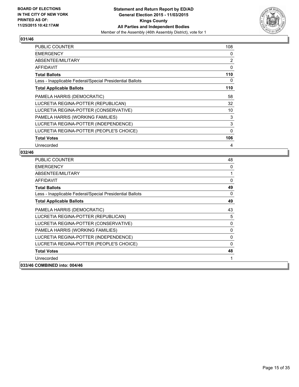

| <b>PUBLIC COUNTER</b>                                    | 108      |
|----------------------------------------------------------|----------|
| <b>EMERGENCY</b>                                         | 0        |
| ABSENTEE/MILITARY                                        | 2        |
| <b>AFFIDAVIT</b>                                         | 0        |
| <b>Total Ballots</b>                                     | 110      |
| Less - Inapplicable Federal/Special Presidential Ballots | 0        |
| <b>Total Applicable Ballots</b>                          | 110      |
| PAMELA HARRIS (DEMOCRATIC)                               | 58       |
| LUCRETIA REGINA-POTTER (REPUBLICAN)                      | 32       |
| LUCRETIA REGINA-POTTER (CONSERVATIVE)                    | 10       |
| PAMELA HARRIS (WORKING FAMILIES)                         | 3        |
| LUCRETIA REGINA-POTTER (INDEPENDENCE)                    | 3        |
| LUCRETIA REGINA-POTTER (PEOPLE'S CHOICE)                 | $\Omega$ |
| <b>Total Votes</b>                                       | 106      |
| Unrecorded                                               | 4        |

| <b>PUBLIC COUNTER</b>                                    | 48       |
|----------------------------------------------------------|----------|
| <b>EMERGENCY</b>                                         | 0        |
| ABSENTEE/MILITARY                                        |          |
| <b>AFFIDAVIT</b>                                         | $\Omega$ |
| <b>Total Ballots</b>                                     | 49       |
| Less - Inapplicable Federal/Special Presidential Ballots | 0        |
| <b>Total Applicable Ballots</b>                          | 49       |
| PAMELA HARRIS (DEMOCRATIC)                               | 43       |
| LUCRETIA REGINA-POTTER (REPUBLICAN)                      | 5        |
| LUCRETIA REGINA-POTTER (CONSERVATIVE)                    | 0        |
| PAMELA HARRIS (WORKING FAMILIES)                         | 0        |
| LUCRETIA REGINA-POTTER (INDEPENDENCE)                    | $\Omega$ |
| LUCRETIA REGINA-POTTER (PEOPLE'S CHOICE)                 | 0        |
| <b>Total Votes</b>                                       | 48       |
| Unrecorded                                               |          |
| 033/46 COMBINED into: 004/46                             |          |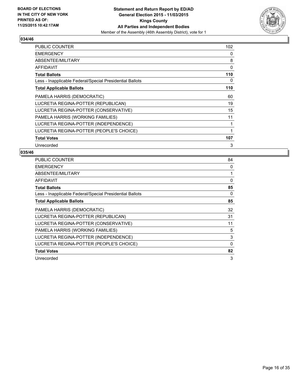

| <b>PUBLIC COUNTER</b>                                    | 102 |
|----------------------------------------------------------|-----|
| <b>EMERGENCY</b>                                         | 0   |
| ABSENTEE/MILITARY                                        | 8   |
| AFFIDAVIT                                                | 0   |
| <b>Total Ballots</b>                                     | 110 |
| Less - Inapplicable Federal/Special Presidential Ballots | 0   |
| <b>Total Applicable Ballots</b>                          | 110 |
| PAMELA HARRIS (DEMOCRATIC)                               | 60  |
| LUCRETIA REGINA-POTTER (REPUBLICAN)                      | 19  |
| LUCRETIA REGINA-POTTER (CONSERVATIVE)                    | 15  |
| PAMELA HARRIS (WORKING FAMILIES)                         | 11  |
| LUCRETIA REGINA-POTTER (INDEPENDENCE)                    | 1   |
| LUCRETIA REGINA-POTTER (PEOPLE'S CHOICE)                 | 1   |
| <b>Total Votes</b>                                       | 107 |
| Unrecorded                                               | 3   |

| <b>PUBLIC COUNTER</b>                                    | 84          |
|----------------------------------------------------------|-------------|
| <b>EMERGENCY</b>                                         | 0           |
| ABSENTEE/MILITARY                                        | 1           |
| <b>AFFIDAVIT</b>                                         | 0           |
| <b>Total Ballots</b>                                     | 85          |
| Less - Inapplicable Federal/Special Presidential Ballots | 0           |
| <b>Total Applicable Ballots</b>                          | 85          |
| PAMELA HARRIS (DEMOCRATIC)                               | 32          |
| LUCRETIA REGINA-POTTER (REPUBLICAN)                      | 31          |
| LUCRETIA REGINA-POTTER (CONSERVATIVE)                    | 11          |
| PAMELA HARRIS (WORKING FAMILIES)                         | 5           |
| LUCRETIA REGINA-POTTER (INDEPENDENCE)                    | 3           |
| LUCRETIA REGINA-POTTER (PEOPLE'S CHOICE)                 | $\mathbf 0$ |
| <b>Total Votes</b>                                       | 82          |
| Unrecorded                                               | 3           |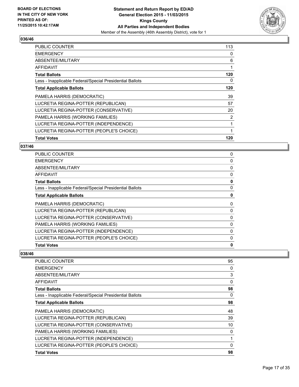

| <b>PUBLIC COUNTER</b>                                    | 113 |
|----------------------------------------------------------|-----|
| <b>EMERGENCY</b>                                         | 0   |
| ABSENTEE/MILITARY                                        | 6   |
| AFFIDAVIT                                                |     |
| <b>Total Ballots</b>                                     | 120 |
| Less - Inapplicable Federal/Special Presidential Ballots | 0   |
| <b>Total Applicable Ballots</b>                          | 120 |
| PAMELA HARRIS (DEMOCRATIC)                               | 39  |
| LUCRETIA REGINA-POTTER (REPUBLICAN)                      | 57  |
| LUCRETIA REGINA-POTTER (CONSERVATIVE)                    | 20  |
| PAMELA HARRIS (WORKING FAMILIES)                         | 2   |
| LUCRETIA REGINA-POTTER (INDEPENDENCE)                    | 1   |
| LUCRETIA REGINA-POTTER (PEOPLE'S CHOICE)                 | 1   |
| <b>Total Votes</b>                                       | 120 |

## **037/46**

| 0 |
|---|
| 0 |
| 0 |
| 0 |
| 0 |
| 0 |
| 0 |
| 0 |
| 0 |
| 0 |
| 0 |
| 0 |
| 0 |
| 0 |
|   |

| <b>PUBLIC COUNTER</b>                                    | 95       |
|----------------------------------------------------------|----------|
| <b>EMERGENCY</b>                                         | 0        |
| ABSENTEE/MILITARY                                        | 3        |
| <b>AFFIDAVIT</b>                                         | 0        |
| <b>Total Ballots</b>                                     | 98       |
| Less - Inapplicable Federal/Special Presidential Ballots | 0        |
| <b>Total Applicable Ballots</b>                          | 98       |
| PAMELA HARRIS (DEMOCRATIC)                               | 48       |
| LUCRETIA REGINA-POTTER (REPUBLICAN)                      | 39       |
| LUCRETIA REGINA-POTTER (CONSERVATIVE)                    | 10       |
| PAMELA HARRIS (WORKING FAMILIES)                         | 0        |
| LUCRETIA REGINA-POTTER (INDEPENDENCE)                    | 1        |
| LUCRETIA REGINA-POTTER (PEOPLE'S CHOICE)                 | $\Omega$ |
| <b>Total Votes</b>                                       | 98       |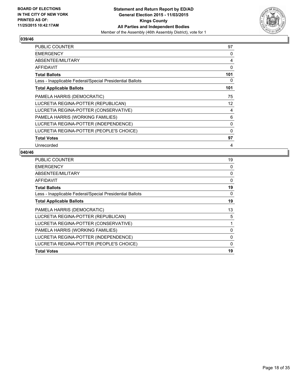

| <b>PUBLIC COUNTER</b>                                    | 97  |
|----------------------------------------------------------|-----|
| <b>EMERGENCY</b>                                         | 0   |
| ABSENTEE/MILITARY                                        | 4   |
| <b>AFFIDAVIT</b>                                         | 0   |
| <b>Total Ballots</b>                                     | 101 |
| Less - Inapplicable Federal/Special Presidential Ballots | 0   |
| <b>Total Applicable Ballots</b>                          | 101 |
| PAMELA HARRIS (DEMOCRATIC)                               | 75  |
| LUCRETIA REGINA-POTTER (REPUBLICAN)                      | 12  |
| LUCRETIA REGINA-POTTER (CONSERVATIVE)                    | 4   |
| PAMELA HARRIS (WORKING FAMILIES)                         | 6   |
| LUCRETIA REGINA-POTTER (INDEPENDENCE)                    | 0   |
| LUCRETIA REGINA-POTTER (PEOPLE'S CHOICE)                 | 0   |
| <b>Total Votes</b>                                       | 97  |
| Unrecorded                                               | 4   |

| <b>PUBLIC COUNTER</b>                                    | 19 |
|----------------------------------------------------------|----|
| <b>EMERGENCY</b>                                         | 0  |
| ABSENTEE/MILITARY                                        | 0  |
| AFFIDAVIT                                                | 0  |
| <b>Total Ballots</b>                                     | 19 |
| Less - Inapplicable Federal/Special Presidential Ballots | 0  |
| <b>Total Applicable Ballots</b>                          | 19 |
| PAMELA HARRIS (DEMOCRATIC)                               | 13 |
| LUCRETIA REGINA-POTTER (REPUBLICAN)                      | 5  |
| LUCRETIA REGINA-POTTER (CONSERVATIVE)                    | 1  |
| PAMELA HARRIS (WORKING FAMILIES)                         | 0  |
| LUCRETIA REGINA-POTTER (INDEPENDENCE)                    | 0  |
| LUCRETIA REGINA-POTTER (PEOPLE'S CHOICE)                 | 0  |
| <b>Total Votes</b>                                       | 19 |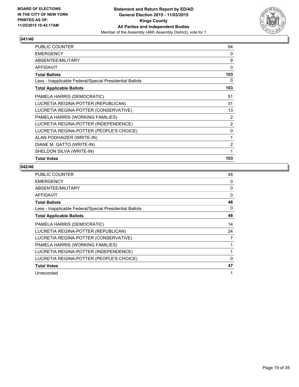

| <b>PUBLIC COUNTER</b>                                    | 94       |
|----------------------------------------------------------|----------|
| <b>EMERGENCY</b>                                         | $\Omega$ |
| ABSENTEE/MILITARY                                        | 9        |
| <b>AFFIDAVIT</b>                                         | 0        |
| <b>Total Ballots</b>                                     | 103      |
| Less - Inapplicable Federal/Special Presidential Ballots | 0        |
| <b>Total Applicable Ballots</b>                          | 103      |
| PAMELA HARRIS (DEMOCRATIC)                               | 51       |
| LUCRETIA REGINA-POTTER (REPUBLICAN)                      | 31       |
| LUCRETIA REGINA-POTTER (CONSERVATIVE)                    | 13       |
| PAMELA HARRIS (WORKING FAMILIES)                         | 2        |
| LUCRETIA REGINA-POTTER (INDEPENDENCE)                    | 2        |
| LUCRETIA REGINA-POTTER (PEOPLE'S CHOICE)                 | 0        |
| ALAN PODHAIZER (WRITE-IN)                                | 1        |
| DIANE M. GATTO (WRITE-IN)                                | 2        |
| SHELDON SILVA (WRITE-IN)                                 | 1        |
| <b>Total Votes</b>                                       | 103      |

| <b>PUBLIC COUNTER</b>                                    | 48           |
|----------------------------------------------------------|--------------|
| <b>EMERGENCY</b>                                         | 0            |
| ABSENTEE/MILITARY                                        | 0            |
| <b>AFFIDAVIT</b>                                         | 0            |
| <b>Total Ballots</b>                                     | 48           |
| Less - Inapplicable Federal/Special Presidential Ballots | 0            |
| <b>Total Applicable Ballots</b>                          | 48           |
| PAMELA HARRIS (DEMOCRATIC)                               | 14           |
| LUCRETIA REGINA-POTTER (REPUBLICAN)                      | 24           |
| LUCRETIA REGINA-POTTER (CONSERVATIVE)                    | 7            |
| PAMELA HARRIS (WORKING FAMILIES)                         | 1            |
| LUCRETIA REGINA-POTTER (INDEPENDENCE)                    | 1            |
| LUCRETIA REGINA-POTTER (PEOPLE'S CHOICE)                 | $\mathbf{0}$ |
| <b>Total Votes</b>                                       | 47           |
| Unrecorded                                               | 1            |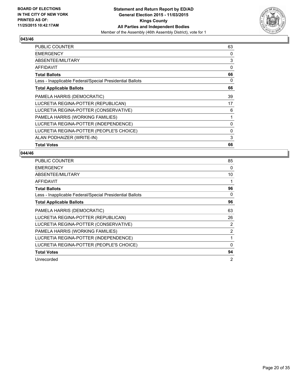

| <b>PUBLIC COUNTER</b>                                    | 63 |
|----------------------------------------------------------|----|
| <b>EMERGENCY</b>                                         | 0  |
| ABSENTEE/MILITARY                                        | 3  |
| AFFIDAVIT                                                | 0  |
| <b>Total Ballots</b>                                     | 66 |
| Less - Inapplicable Federal/Special Presidential Ballots | 0  |
| <b>Total Applicable Ballots</b>                          | 66 |
| PAMELA HARRIS (DEMOCRATIC)                               | 39 |
| LUCRETIA REGINA-POTTER (REPUBLICAN)                      | 17 |
| LUCRETIA REGINA-POTTER (CONSERVATIVE)                    | 6  |
| PAMELA HARRIS (WORKING FAMILIES)                         | 1  |
| LUCRETIA REGINA-POTTER (INDEPENDENCE)                    | 0  |
| LUCRETIA REGINA-POTTER (PEOPLE'S CHOICE)                 | 0  |
| ALAN PODHAIZER (WRITE-IN)                                | 3  |
| <b>Total Votes</b>                                       | 66 |

| <b>PUBLIC COUNTER</b>                                    | 85       |
|----------------------------------------------------------|----------|
| <b>EMERGENCY</b>                                         | 0        |
| ABSENTEE/MILITARY                                        | 10       |
| AFFIDAVIT                                                | 1        |
| <b>Total Ballots</b>                                     | 96       |
| Less - Inapplicable Federal/Special Presidential Ballots | 0        |
| <b>Total Applicable Ballots</b>                          | 96       |
| PAMELA HARRIS (DEMOCRATIC)                               | 63       |
| LUCRETIA REGINA-POTTER (REPUBLICAN)                      | 26       |
| LUCRETIA REGINA-POTTER (CONSERVATIVE)                    | 2        |
| PAMELA HARRIS (WORKING FAMILIES)                         | 2        |
| LUCRETIA REGINA-POTTER (INDEPENDENCE)                    | 1        |
| LUCRETIA REGINA-POTTER (PEOPLE'S CHOICE)                 | $\Omega$ |
| <b>Total Votes</b>                                       | 94       |
| Unrecorded                                               | 2        |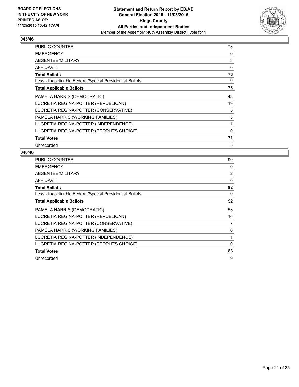

| <b>PUBLIC COUNTER</b>                                    | 73 |
|----------------------------------------------------------|----|
| <b>EMERGENCY</b>                                         | 0  |
| ABSENTEE/MILITARY                                        | 3  |
| AFFIDAVIT                                                | 0  |
| <b>Total Ballots</b>                                     | 76 |
| Less - Inapplicable Federal/Special Presidential Ballots | 0  |
| <b>Total Applicable Ballots</b>                          | 76 |
| PAMELA HARRIS (DEMOCRATIC)                               | 43 |
| LUCRETIA REGINA-POTTER (REPUBLICAN)                      | 19 |
| LUCRETIA REGINA-POTTER (CONSERVATIVE)                    | 5  |
| PAMELA HARRIS (WORKING FAMILIES)                         | 3  |
| LUCRETIA REGINA-POTTER (INDEPENDENCE)                    | 1  |
| LUCRETIA REGINA-POTTER (PEOPLE'S CHOICE)                 | 0  |
| <b>Total Votes</b>                                       | 71 |
| Unrecorded                                               | 5  |

| <b>PUBLIC COUNTER</b>                                    | 90          |
|----------------------------------------------------------|-------------|
| <b>EMERGENCY</b>                                         | 0           |
| ABSENTEE/MILITARY                                        | 2           |
| AFFIDAVIT                                                | 0           |
| <b>Total Ballots</b>                                     | 92          |
| Less - Inapplicable Federal/Special Presidential Ballots | 0           |
| <b>Total Applicable Ballots</b>                          | 92          |
| PAMELA HARRIS (DEMOCRATIC)                               | 53          |
| LUCRETIA REGINA-POTTER (REPUBLICAN)                      | 16          |
| LUCRETIA REGINA-POTTER (CONSERVATIVE)                    | 7           |
| PAMELA HARRIS (WORKING FAMILIES)                         | 6           |
| LUCRETIA REGINA-POTTER (INDEPENDENCE)                    | 1           |
| LUCRETIA REGINA-POTTER (PEOPLE'S CHOICE)                 | $\mathbf 0$ |
| <b>Total Votes</b>                                       | 83          |
| Unrecorded                                               | 9           |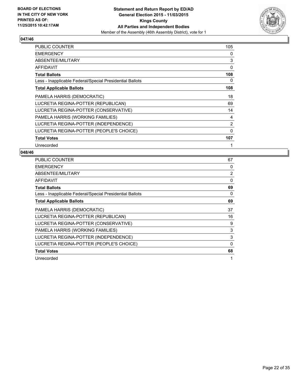

| <b>PUBLIC COUNTER</b>                                    | 105 |
|----------------------------------------------------------|-----|
| <b>EMERGENCY</b>                                         | 0   |
| ABSENTEE/MILITARY                                        | 3   |
| AFFIDAVIT                                                | 0   |
| <b>Total Ballots</b>                                     | 108 |
| Less - Inapplicable Federal/Special Presidential Ballots | 0   |
| <b>Total Applicable Ballots</b>                          | 108 |
| PAMELA HARRIS (DEMOCRATIC)                               | 18  |
| LUCRETIA REGINA-POTTER (REPUBLICAN)                      | 69  |
| LUCRETIA REGINA-POTTER (CONSERVATIVE)                    | 14  |
| PAMELA HARRIS (WORKING FAMILIES)                         | 4   |
| LUCRETIA REGINA-POTTER (INDEPENDENCE)                    | 2   |
| LUCRETIA REGINA-POTTER (PEOPLE'S CHOICE)                 | 0   |
| <b>Total Votes</b>                                       | 107 |
| Unrecorded                                               | 1   |

| <b>PUBLIC COUNTER</b>                                    | 67             |
|----------------------------------------------------------|----------------|
| <b>EMERGENCY</b>                                         | 0              |
| ABSENTEE/MILITARY                                        | $\overline{2}$ |
| AFFIDAVIT                                                | 0              |
| <b>Total Ballots</b>                                     | 69             |
| Less - Inapplicable Federal/Special Presidential Ballots | 0              |
| <b>Total Applicable Ballots</b>                          | 69             |
| PAMELA HARRIS (DEMOCRATIC)                               | 37             |
| LUCRETIA REGINA-POTTER (REPUBLICAN)                      | 16             |
| LUCRETIA REGINA-POTTER (CONSERVATIVE)                    | 9              |
| PAMELA HARRIS (WORKING FAMILIES)                         | 3              |
| LUCRETIA REGINA-POTTER (INDEPENDENCE)                    | 3              |
| LUCRETIA REGINA-POTTER (PEOPLE'S CHOICE)                 | 0              |
| <b>Total Votes</b>                                       | 68             |
| Unrecorded                                               | 1              |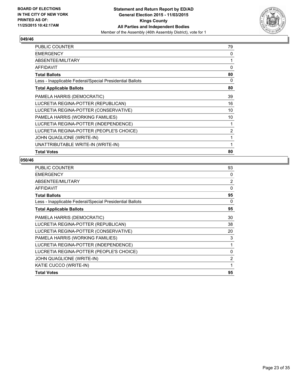

| <b>PUBLIC COUNTER</b>                                    | 79 |
|----------------------------------------------------------|----|
| <b>EMERGENCY</b>                                         | 0  |
| ABSENTEE/MILITARY                                        | 1  |
| <b>AFFIDAVIT</b>                                         | 0  |
| <b>Total Ballots</b>                                     | 80 |
| Less - Inapplicable Federal/Special Presidential Ballots | 0  |
| <b>Total Applicable Ballots</b>                          | 80 |
| PAMELA HARRIS (DEMOCRATIC)                               | 39 |
| LUCRETIA REGINA-POTTER (REPUBLICAN)                      | 16 |
| LUCRETIA REGINA-POTTER (CONSERVATIVE)                    | 10 |
| PAMELA HARRIS (WORKING FAMILIES)                         | 10 |
| LUCRETIA REGINA-POTTER (INDEPENDENCE)                    | 1  |
| LUCRETIA REGINA-POTTER (PEOPLE'S CHOICE)                 | 2  |
| JOHN QUAGLIONE (WRITE-IN)                                | 1  |
| UNATTRIBUTABLE WRITE-IN (WRITE-IN)                       | 1  |
| <b>Total Votes</b>                                       | 80 |

| 93             |
|----------------|
| 0              |
| $\overline{2}$ |
| $\Omega$       |
| 95             |
| 0              |
| 95             |
| 30             |
| 38             |
| 20             |
| 3              |
| 1              |
| $\mathbf{0}$   |
| $\overline{2}$ |
| 1              |
| 95             |
|                |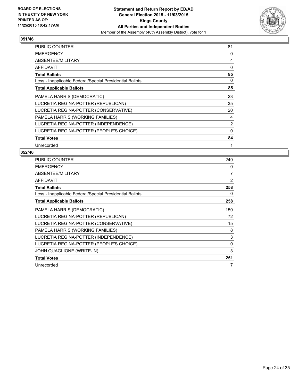

| <b>PUBLIC COUNTER</b>                                    | 81       |
|----------------------------------------------------------|----------|
| <b>EMERGENCY</b>                                         | 0        |
| ABSENTEE/MILITARY                                        | 4        |
| AFFIDAVIT                                                | 0        |
| <b>Total Ballots</b>                                     | 85       |
| Less - Inapplicable Federal/Special Presidential Ballots | 0        |
| <b>Total Applicable Ballots</b>                          | 85       |
| PAMELA HARRIS (DEMOCRATIC)                               | 23       |
| LUCRETIA REGINA-POTTER (REPUBLICAN)                      | 35       |
| LUCRETIA REGINA-POTTER (CONSERVATIVE)                    | 20       |
| PAMELA HARRIS (WORKING FAMILIES)                         | 4        |
| LUCRETIA REGINA-POTTER (INDEPENDENCE)                    | 2        |
| LUCRETIA REGINA-POTTER (PEOPLE'S CHOICE)                 | $\Omega$ |
| <b>Total Votes</b>                                       | 84       |
| Unrecorded                                               | 1        |

| <b>PUBLIC COUNTER</b>                                    | 249 |
|----------------------------------------------------------|-----|
| <b>EMERGENCY</b>                                         | 0   |
| ABSENTEE/MILITARY                                        | 7   |
| <b>AFFIDAVIT</b>                                         | 2   |
| <b>Total Ballots</b>                                     | 258 |
| Less - Inapplicable Federal/Special Presidential Ballots | 0   |
| <b>Total Applicable Ballots</b>                          | 258 |
| PAMELA HARRIS (DEMOCRATIC)                               | 150 |
| LUCRETIA REGINA-POTTER (REPUBLICAN)                      | 72  |
| LUCRETIA REGINA-POTTER (CONSERVATIVE)                    | 15  |
| PAMELA HARRIS (WORKING FAMILIES)                         | 8   |
| LUCRETIA REGINA-POTTER (INDEPENDENCE)                    | 3   |
| LUCRETIA REGINA-POTTER (PEOPLE'S CHOICE)                 | 0   |
| <b>JOHN QUAGLIONE (WRITE-IN)</b>                         | 3   |
| <b>Total Votes</b>                                       | 251 |
| Unrecorded                                               | 7   |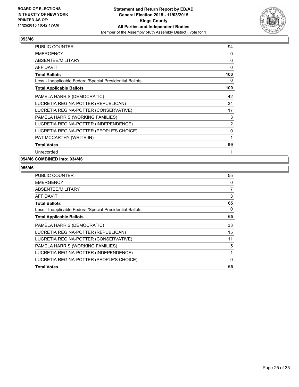

| <b>PUBLIC COUNTER</b>                                    | 94  |
|----------------------------------------------------------|-----|
| <b>EMERGENCY</b>                                         | 0   |
| ABSENTEE/MILITARY                                        | 6   |
| AFFIDAVIT                                                | 0   |
| <b>Total Ballots</b>                                     | 100 |
| Less - Inapplicable Federal/Special Presidential Ballots | 0   |
| <b>Total Applicable Ballots</b>                          | 100 |
| PAMELA HARRIS (DEMOCRATIC)                               | 42  |
| LUCRETIA REGINA-POTTER (REPUBLICAN)                      | 34  |
| LUCRETIA REGINA-POTTER (CONSERVATIVE)                    | 17  |
| PAMELA HARRIS (WORKING FAMILIES)                         | 3   |
| LUCRETIA REGINA-POTTER (INDEPENDENCE)                    | 2   |
| LUCRETIA REGINA-POTTER (PEOPLE'S CHOICE)                 | 0   |
| PAT MCCARTHY (WRITE-IN)                                  | 1   |
| <b>Total Votes</b>                                       | 99  |
| Unrecorded                                               | 1   |

## **054/46 COMBINED into: 034/46**

| <b>PUBLIC COUNTER</b>                                    | 55             |
|----------------------------------------------------------|----------------|
| <b>EMERGENCY</b>                                         | 0              |
| ABSENTEE/MILITARY                                        | $\overline{7}$ |
| AFFIDAVIT                                                | 3              |
| <b>Total Ballots</b>                                     | 65             |
| Less - Inapplicable Federal/Special Presidential Ballots | 0              |
| <b>Total Applicable Ballots</b>                          | 65             |
| PAMELA HARRIS (DEMOCRATIC)                               | 33             |
| LUCRETIA REGINA-POTTER (REPUBLICAN)                      | 15             |
| LUCRETIA REGINA-POTTER (CONSERVATIVE)                    | 11             |
| PAMELA HARRIS (WORKING FAMILIES)                         | 5              |
| LUCRETIA REGINA-POTTER (INDEPENDENCE)                    | 1              |
| LUCRETIA REGINA-POTTER (PEOPLE'S CHOICE)                 | 0              |
| <b>Total Votes</b>                                       | 65             |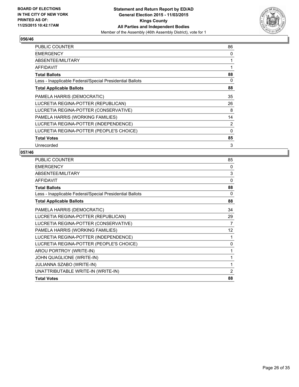

| <b>PUBLIC COUNTER</b>                                    | 86 |
|----------------------------------------------------------|----|
| <b>EMERGENCY</b>                                         | 0  |
| ABSENTEE/MILITARY                                        |    |
| AFFIDAVIT                                                |    |
| <b>Total Ballots</b>                                     | 88 |
| Less - Inapplicable Federal/Special Presidential Ballots | 0  |
| <b>Total Applicable Ballots</b>                          | 88 |
| PAMELA HARRIS (DEMOCRATIC)                               | 35 |
| LUCRETIA REGINA-POTTER (REPUBLICAN)                      | 26 |
| LUCRETIA REGINA-POTTER (CONSERVATIVE)                    | 8  |
| PAMELA HARRIS (WORKING FAMILIES)                         | 14 |
| LUCRETIA REGINA-POTTER (INDEPENDENCE)                    | 2  |
| LUCRETIA REGINA-POTTER (PEOPLE'S CHOICE)                 | 0  |
| <b>Total Votes</b>                                       | 85 |
| Unrecorded                                               | 3  |

| <b>PUBLIC COUNTER</b>                                    | 85 |
|----------------------------------------------------------|----|
| <b>EMERGENCY</b>                                         | 0  |
| ABSENTEE/MILITARY                                        | 3  |
| <b>AFFIDAVIT</b>                                         | 0  |
| <b>Total Ballots</b>                                     | 88 |
| Less - Inapplicable Federal/Special Presidential Ballots | 0  |
| <b>Total Applicable Ballots</b>                          | 88 |
| PAMELA HARRIS (DEMOCRATIC)                               | 34 |
| LUCRETIA REGINA-POTTER (REPUBLICAN)                      | 29 |
| LUCRETIA REGINA-POTTER (CONSERVATIVE)                    | 7  |
| PAMELA HARRIS (WORKING FAMILIES)                         | 12 |
| LUCRETIA REGINA-POTTER (INDEPENDENCE)                    | 1  |
| LUCRETIA REGINA-POTTER (PEOPLE'S CHOICE)                 | 0  |
| AROU PORTROY (WRITE-IN)                                  | 1  |
| JOHN QUAGLIONE (WRITE-IN)                                | 1  |
| <b>JULIANNA SZABO (WRITE-IN)</b>                         | 1  |
| UNATTRIBUTABLE WRITE-IN (WRITE-IN)                       | 2  |
| <b>Total Votes</b>                                       | 88 |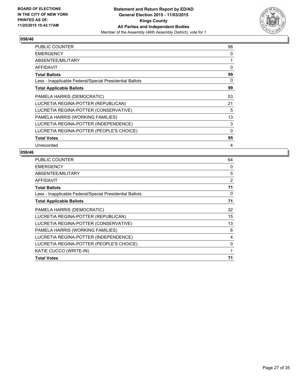

| <b>PUBLIC COUNTER</b>                                    | 98          |
|----------------------------------------------------------|-------------|
| <b>EMERGENCY</b>                                         | 0           |
| ABSENTEE/MILITARY                                        | 1           |
| AFFIDAVIT                                                | 0           |
| <b>Total Ballots</b>                                     | 99          |
| Less - Inapplicable Federal/Special Presidential Ballots | 0           |
| <b>Total Applicable Ballots</b>                          | 99          |
| PAMELA HARRIS (DEMOCRATIC)                               | 53          |
| LUCRETIA REGINA-POTTER (REPUBLICAN)                      | 21          |
| LUCRETIA REGINA-POTTER (CONSERVATIVE)                    | 5           |
| PAMELA HARRIS (WORKING FAMILIES)                         | 13          |
| LUCRETIA REGINA-POTTER (INDEPENDENCE)                    | 3           |
| LUCRETIA REGINA-POTTER (PEOPLE'S CHOICE)                 | $\mathbf 0$ |
| <b>Total Votes</b>                                       | 95          |
| Unrecorded                                               | 4           |

| <b>PUBLIC COUNTER</b>                                    | 64 |
|----------------------------------------------------------|----|
| <b>EMERGENCY</b>                                         | 0  |
| ABSENTEE/MILITARY                                        | 5  |
| <b>AFFIDAVIT</b>                                         | 2  |
| <b>Total Ballots</b>                                     | 71 |
| Less - Inapplicable Federal/Special Presidential Ballots | 0  |
| <b>Total Applicable Ballots</b>                          | 71 |
| PAMELA HARRIS (DEMOCRATIC)                               | 32 |
| LUCRETIA REGINA-POTTER (REPUBLICAN)                      | 15 |
| LUCRETIA REGINA-POTTER (CONSERVATIVE)                    | 13 |
| PAMELA HARRIS (WORKING FAMILIES)                         | 6  |
| LUCRETIA REGINA-POTTER (INDEPENDENCE)                    | 4  |
| LUCRETIA REGINA-POTTER (PEOPLE'S CHOICE)                 | 0  |
| KATIE CUCCO (WRITE-IN)                                   | 1  |
| <b>Total Votes</b>                                       | 71 |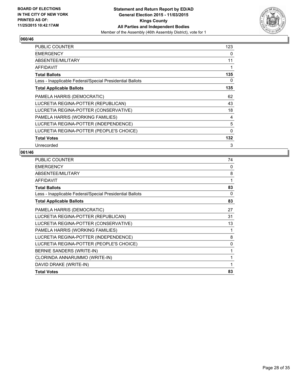

| <b>PUBLIC COUNTER</b>                                    | 123      |
|----------------------------------------------------------|----------|
| <b>EMERGENCY</b>                                         | 0        |
| ABSENTEE/MILITARY                                        | 11       |
| AFFIDAVIT                                                | 1        |
| <b>Total Ballots</b>                                     | 135      |
| Less - Inapplicable Federal/Special Presidential Ballots | 0        |
| <b>Total Applicable Ballots</b>                          | 135      |
| PAMELA HARRIS (DEMOCRATIC)                               | 62       |
| LUCRETIA REGINA-POTTER (REPUBLICAN)                      | 43       |
| LUCRETIA REGINA-POTTER (CONSERVATIVE)                    | 18       |
| PAMELA HARRIS (WORKING FAMILIES)                         | 4        |
| LUCRETIA REGINA-POTTER (INDEPENDENCE)                    | 5        |
| LUCRETIA REGINA-POTTER (PEOPLE'S CHOICE)                 | $\Omega$ |
| <b>Total Votes</b>                                       | 132      |
| Unrecorded                                               | 3        |

| <b>PUBLIC COUNTER</b>                                    | 74       |
|----------------------------------------------------------|----------|
| <b>EMERGENCY</b>                                         | $\Omega$ |
| ABSENTEE/MILITARY                                        | 8        |
| <b>AFFIDAVIT</b>                                         | 1        |
| <b>Total Ballots</b>                                     | 83       |
| Less - Inapplicable Federal/Special Presidential Ballots | 0        |
| <b>Total Applicable Ballots</b>                          | 83       |
| PAMELA HARRIS (DEMOCRATIC)                               | 27       |
| LUCRETIA REGINA-POTTER (REPUBLICAN)                      | 31       |
| LUCRETIA REGINA-POTTER (CONSERVATIVE)                    | 13       |
| PAMELA HARRIS (WORKING FAMILIES)                         | 1        |
| LUCRETIA REGINA-POTTER (INDEPENDENCE)                    | 8        |
| LUCRETIA REGINA-POTTER (PEOPLE'S CHOICE)                 | 0        |
| BERNIE SANDERS (WRITE-IN)                                | 1        |
| CLORINDA ANNARUMMO (WRITE-IN)                            | 1        |
| DAVID DRAKE (WRITE-IN)                                   | 1        |
| <b>Total Votes</b>                                       | 83       |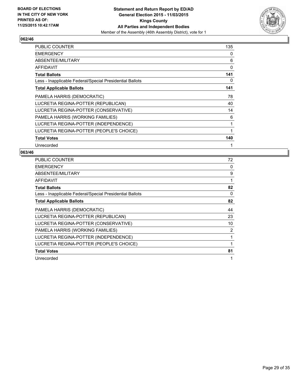

| <b>PUBLIC COUNTER</b>                                    | 135 |
|----------------------------------------------------------|-----|
| <b>EMERGENCY</b>                                         | 0   |
| ABSENTEE/MILITARY                                        | 6   |
| AFFIDAVIT                                                | 0   |
| <b>Total Ballots</b>                                     | 141 |
| Less - Inapplicable Federal/Special Presidential Ballots | 0   |
| <b>Total Applicable Ballots</b>                          | 141 |
| PAMELA HARRIS (DEMOCRATIC)                               | 78  |
| LUCRETIA REGINA-POTTER (REPUBLICAN)                      | 40  |
| LUCRETIA REGINA-POTTER (CONSERVATIVE)                    | 14  |
| PAMELA HARRIS (WORKING FAMILIES)                         | 6   |
| LUCRETIA REGINA-POTTER (INDEPENDENCE)                    | 1   |
| LUCRETIA REGINA-POTTER (PEOPLE'S CHOICE)                 | 1   |
| <b>Total Votes</b>                                       | 140 |
| Unrecorded                                               |     |

| <b>PUBLIC COUNTER</b>                                    | 72 |
|----------------------------------------------------------|----|
| <b>EMERGENCY</b>                                         | 0  |
| ABSENTEE/MILITARY                                        | 9  |
| <b>AFFIDAVIT</b>                                         | 1  |
| <b>Total Ballots</b>                                     | 82 |
| Less - Inapplicable Federal/Special Presidential Ballots | 0  |
| <b>Total Applicable Ballots</b>                          | 82 |
| PAMELA HARRIS (DEMOCRATIC)                               | 44 |
| LUCRETIA REGINA-POTTER (REPUBLICAN)                      | 23 |
| LUCRETIA REGINA-POTTER (CONSERVATIVE)                    | 10 |
| PAMELA HARRIS (WORKING FAMILIES)                         | 2  |
| LUCRETIA REGINA-POTTER (INDEPENDENCE)                    | 1  |
| LUCRETIA REGINA-POTTER (PEOPLE'S CHOICE)                 | 1  |
| <b>Total Votes</b>                                       | 81 |
| Unrecorded                                               | 1  |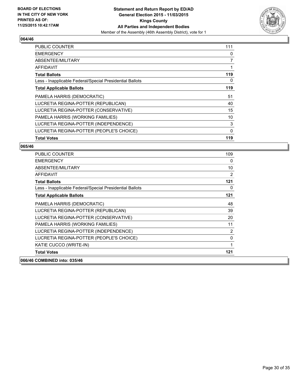

| <b>PUBLIC COUNTER</b>                                    | 111 |
|----------------------------------------------------------|-----|
| <b>EMERGENCY</b>                                         | 0   |
| ABSENTEE/MILITARY                                        | 7   |
| AFFIDAVIT                                                |     |
| <b>Total Ballots</b>                                     | 119 |
| Less - Inapplicable Federal/Special Presidential Ballots | 0   |
| <b>Total Applicable Ballots</b>                          | 119 |
| PAMELA HARRIS (DEMOCRATIC)                               | 51  |
| LUCRETIA REGINA-POTTER (REPUBLICAN)                      | 40  |
| LUCRETIA REGINA-POTTER (CONSERVATIVE)                    | 15  |
| PAMELA HARRIS (WORKING FAMILIES)                         | 10  |
| LUCRETIA REGINA-POTTER (INDEPENDENCE)                    | 3   |
| LUCRETIA REGINA-POTTER (PEOPLE'S CHOICE)                 | 0   |
| <b>Total Votes</b>                                       | 119 |

| <b>PUBLIC COUNTER</b>                                    | 109 |
|----------------------------------------------------------|-----|
| <b>EMERGENCY</b>                                         | 0   |
| ABSENTEE/MILITARY                                        | 10  |
| <b>AFFIDAVIT</b>                                         | 2   |
| <b>Total Ballots</b>                                     | 121 |
| Less - Inapplicable Federal/Special Presidential Ballots | 0   |
| <b>Total Applicable Ballots</b>                          | 121 |
| PAMELA HARRIS (DEMOCRATIC)                               | 48  |
| LUCRETIA REGINA-POTTER (REPUBLICAN)                      | 39  |
| LUCRETIA REGINA-POTTER (CONSERVATIVE)                    | 20  |
| PAMELA HARRIS (WORKING FAMILIES)                         | 11  |
| LUCRETIA REGINA-POTTER (INDEPENDENCE)                    | 2   |
| LUCRETIA REGINA-POTTER (PEOPLE'S CHOICE)                 | 0   |
| KATIE CUCCO (WRITE-IN)                                   | 1   |
| <b>Total Votes</b>                                       | 121 |
| 066/46 COMBINED into: 035/46                             |     |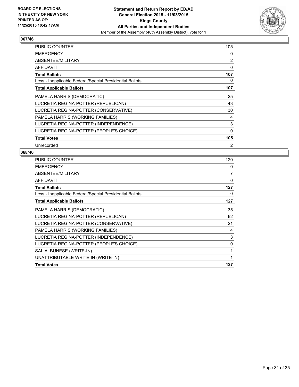

| <b>PUBLIC COUNTER</b>                                    | 105 |
|----------------------------------------------------------|-----|
| <b>EMERGENCY</b>                                         | 0   |
| ABSENTEE/MILITARY                                        | 2   |
| AFFIDAVIT                                                | 0   |
| <b>Total Ballots</b>                                     | 107 |
| Less - Inapplicable Federal/Special Presidential Ballots | 0   |
| <b>Total Applicable Ballots</b>                          | 107 |
| PAMELA HARRIS (DEMOCRATIC)                               | 25  |
| LUCRETIA REGINA-POTTER (REPUBLICAN)                      | 43  |
| LUCRETIA REGINA-POTTER (CONSERVATIVE)                    | 30  |
| PAMELA HARRIS (WORKING FAMILIES)                         | 4   |
| LUCRETIA REGINA-POTTER (INDEPENDENCE)                    | 3   |
| LUCRETIA REGINA-POTTER (PEOPLE'S CHOICE)                 | 0   |
| <b>Total Votes</b>                                       | 105 |
| Unrecorded                                               | 2   |

| <b>PUBLIC COUNTER</b>                                    | 120 |
|----------------------------------------------------------|-----|
| <b>EMERGENCY</b>                                         | 0   |
| ABSENTEE/MILITARY                                        | 7   |
| <b>AFFIDAVIT</b>                                         | 0   |
| <b>Total Ballots</b>                                     | 127 |
| Less - Inapplicable Federal/Special Presidential Ballots | 0   |
| <b>Total Applicable Ballots</b>                          | 127 |
| PAMELA HARRIS (DEMOCRATIC)                               | 35  |
| LUCRETIA REGINA-POTTER (REPUBLICAN)                      | 62  |
| LUCRETIA REGINA-POTTER (CONSERVATIVE)                    | 21  |
| PAMELA HARRIS (WORKING FAMILIES)                         | 4   |
| LUCRETIA REGINA-POTTER (INDEPENDENCE)                    | 3   |
| LUCRETIA REGINA-POTTER (PEOPLE'S CHOICE)                 | 0   |
| SAL ALBUNESE (WRITE-IN)                                  | 1   |
| UNATTRIBUTABLE WRITE-IN (WRITE-IN)                       | 1   |
| <b>Total Votes</b>                                       | 127 |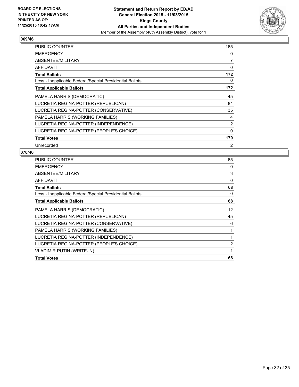

| <b>PUBLIC COUNTER</b>                                    | 165 |
|----------------------------------------------------------|-----|
| <b>EMERGENCY</b>                                         | 0   |
| ABSENTEE/MILITARY                                        | 7   |
| AFFIDAVIT                                                | 0   |
| <b>Total Ballots</b>                                     | 172 |
| Less - Inapplicable Federal/Special Presidential Ballots | 0   |
| <b>Total Applicable Ballots</b>                          | 172 |
| PAMELA HARRIS (DEMOCRATIC)                               | 45  |
| LUCRETIA REGINA-POTTER (REPUBLICAN)                      | 84  |
| LUCRETIA REGINA-POTTER (CONSERVATIVE)                    | 35  |
| PAMELA HARRIS (WORKING FAMILIES)                         | 4   |
| LUCRETIA REGINA-POTTER (INDEPENDENCE)                    | 2   |
| LUCRETIA REGINA-POTTER (PEOPLE'S CHOICE)                 | 0   |
| <b>Total Votes</b>                                       | 170 |
| Unrecorded                                               | 2   |

| <b>PUBLIC COUNTER</b>                                    | 65 |
|----------------------------------------------------------|----|
| <b>EMERGENCY</b>                                         | 0  |
| ABSENTEE/MILITARY                                        | 3  |
| <b>AFFIDAVIT</b>                                         | 0  |
| <b>Total Ballots</b>                                     | 68 |
| Less - Inapplicable Federal/Special Presidential Ballots | 0  |
| <b>Total Applicable Ballots</b>                          | 68 |
| PAMELA HARRIS (DEMOCRATIC)                               | 12 |
| LUCRETIA REGINA-POTTER (REPUBLICAN)                      | 45 |
| LUCRETIA REGINA-POTTER (CONSERVATIVE)                    | 6  |
| PAMELA HARRIS (WORKING FAMILIES)                         | 1  |
| LUCRETIA REGINA-POTTER (INDEPENDENCE)                    | 1  |
| LUCRETIA REGINA-POTTER (PEOPLE'S CHOICE)                 | 2  |
| <b>VLADIMIR PUTIN (WRITE-IN)</b>                         | 1  |
| <b>Total Votes</b>                                       | 68 |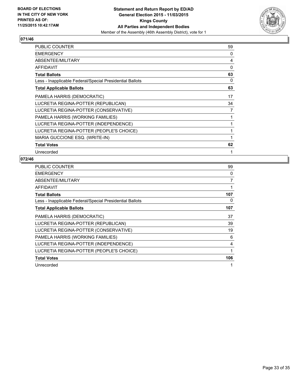

| PUBLIC COUNTER                                           | 59 |
|----------------------------------------------------------|----|
| <b>EMERGENCY</b>                                         | 0  |
| ABSENTEE/MILITARY                                        | 4  |
| AFFIDAVIT                                                | 0  |
| <b>Total Ballots</b>                                     | 63 |
| Less - Inapplicable Federal/Special Presidential Ballots | 0  |
| <b>Total Applicable Ballots</b>                          | 63 |
| PAMELA HARRIS (DEMOCRATIC)                               | 17 |
| LUCRETIA REGINA-POTTER (REPUBLICAN)                      | 34 |
| LUCRETIA REGINA-POTTER (CONSERVATIVE)                    | 7  |
| PAMELA HARRIS (WORKING FAMILIES)                         | 1  |
| LUCRETIA REGINA-POTTER (INDEPENDENCE)                    | 1  |
| LUCRETIA REGINA-POTTER (PEOPLE'S CHOICE)                 | 1  |
| MARIA GUCCIONE ESQ. (WRITE-IN)                           | 1  |
| <b>Total Votes</b>                                       | 62 |
| Unrecorded                                               | 1  |

| PUBLIC COUNTER                                           | 99  |
|----------------------------------------------------------|-----|
| <b>EMERGENCY</b>                                         | 0   |
| ABSENTEE/MILITARY                                        | 7   |
| <b>AFFIDAVIT</b>                                         | 1   |
| <b>Total Ballots</b>                                     | 107 |
| Less - Inapplicable Federal/Special Presidential Ballots | 0   |
| <b>Total Applicable Ballots</b>                          | 107 |
| PAMELA HARRIS (DEMOCRATIC)                               | 37  |
| LUCRETIA REGINA-POTTER (REPUBLICAN)                      | 39  |
| LUCRETIA REGINA-POTTER (CONSERVATIVE)                    | 19  |
| PAMELA HARRIS (WORKING FAMILIES)                         | 6   |
| LUCRETIA REGINA-POTTER (INDEPENDENCE)                    | 4   |
| LUCRETIA REGINA-POTTER (PEOPLE'S CHOICE)                 | 1   |
| <b>Total Votes</b>                                       | 106 |
| Unrecorded                                               | 1   |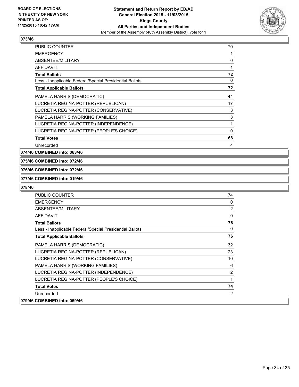

| <b>PUBLIC COUNTER</b>                                    | 70 |
|----------------------------------------------------------|----|
| <b>EMERGENCY</b>                                         | 1  |
| ABSENTEE/MILITARY                                        | 0  |
| AFFIDAVIT                                                | 1  |
| <b>Total Ballots</b>                                     | 72 |
| Less - Inapplicable Federal/Special Presidential Ballots | 0  |
| <b>Total Applicable Ballots</b>                          | 72 |
| PAMELA HARRIS (DEMOCRATIC)                               | 44 |
| LUCRETIA REGINA-POTTER (REPUBLICAN)                      | 17 |
| LUCRETIA REGINA-POTTER (CONSERVATIVE)                    | 3  |
| PAMELA HARRIS (WORKING FAMILIES)                         | 3  |
| LUCRETIA REGINA-POTTER (INDEPENDENCE)                    | 1  |
| LUCRETIA REGINA-POTTER (PEOPLE'S CHOICE)                 | 0  |
| <b>Total Votes</b>                                       | 68 |
| Unrecorded                                               | 4  |

**074/46 COMBINED into: 063/46**

## **075/46 COMBINED into: 072/46**

#### **076/46 COMBINED into: 072/46**

#### **077/46 COMBINED into: 019/46**

| <b>PUBLIC COUNTER</b>                                    | 74             |
|----------------------------------------------------------|----------------|
| <b>EMERGENCY</b>                                         | 0              |
| ABSENTEE/MILITARY                                        | $\overline{2}$ |
| <b>AFFIDAVIT</b>                                         | 0              |
| <b>Total Ballots</b>                                     | 76             |
| Less - Inapplicable Federal/Special Presidential Ballots | 0              |
| <b>Total Applicable Ballots</b>                          | 76             |
| PAMELA HARRIS (DEMOCRATIC)                               | 32             |
| LUCRETIA REGINA-POTTER (REPUBLICAN)                      | 23             |
| LUCRETIA REGINA-POTTER (CONSERVATIVE)                    | 10             |
| PAMELA HARRIS (WORKING FAMILIES)                         | 6              |
| LUCRETIA REGINA-POTTER (INDEPENDENCE)                    | $\overline{2}$ |
| LUCRETIA REGINA-POTTER (PEOPLE'S CHOICE)                 | 1              |
| <b>Total Votes</b>                                       | 74             |
| Unrecorded                                               | 2              |
| 079/46 COMBINED into: 069/46                             |                |